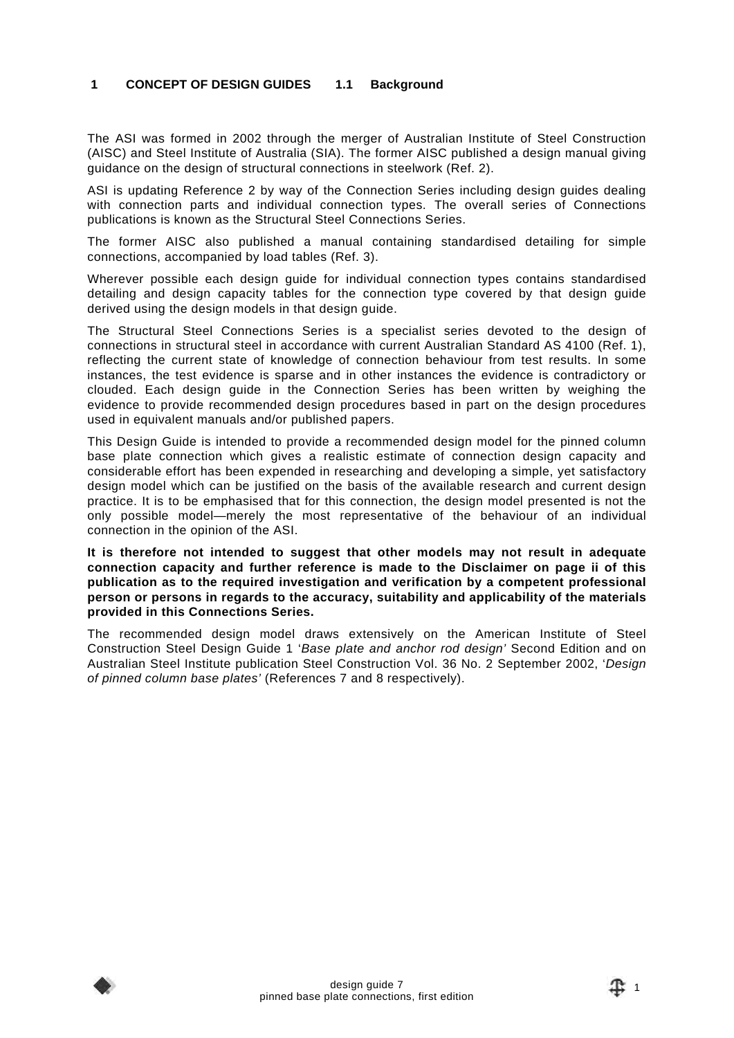#### **1 CONCEPT OF DESIGN GUIDES 1.1 Background**

The ASI was formed in 2002 through the merger of Australian Institute of Steel Construction (AISC) and Steel Institute of Australia (SIA). The former AISC published a design manual giving guidance on the design of structural connections in steelwork (Ref. 2).

ASI is updating Reference 2 by way of the Connection Series including design guides dealing with connection parts and individual connection types. The overall series of Connections publications is known as the Structural Steel Connections Series.

The former AISC also published a manual containing standardised detailing for simple connections, accompanied by load tables (Ref. 3).

Wherever possible each design guide for individual connection types contains standardised detailing and design capacity tables for the connection type covered by that design guide derived using the design models in that design guide.

The Structural Steel Connections Series is a specialist series devoted to the design of connections in structural steel in accordance with current Australian Standard AS 4100 (Ref. 1), reflecting the current state of knowledge of connection behaviour from test results. In some instances, the test evidence is sparse and in other instances the evidence is contradictory or clouded. Each design guide in the Connection Series has been written by weighing the evidence to provide recommended design procedures based in part on the design procedures used in equivalent manuals and/or published papers.

This Design Guide is intended to provide a recommended design model for the pinned column base plate connection which gives a realistic estimate of connection design capacity and considerable effort has been expended in researching and developing a simple, yet satisfactory design model which can be justified on the basis of the available research and current design practice. It is to be emphasised that for this connection, the design model presented is not the only possible model—merely the most representative of the behaviour of an individual connection in the opinion of the ASI.

**It is therefore not intended to suggest that other models may not result in adequate connection capacity and further reference is made to the Disclaimer on page ii of this publication as to the required investigation and verification by a competent professional person or persons in regards to the accuracy, suitability and applicability of the materials provided in this Connections Series.**

The recommended design model draws extensively on the American Institute of Steel Construction Steel Design Guide 1 '*Base plate and anchor rod design'* Second Edition and on Australian Steel Institute publication Steel Construction Vol. 36 No. 2 September 2002, '*Design of pinned column base plates'* (References 7 and 8 respectively).

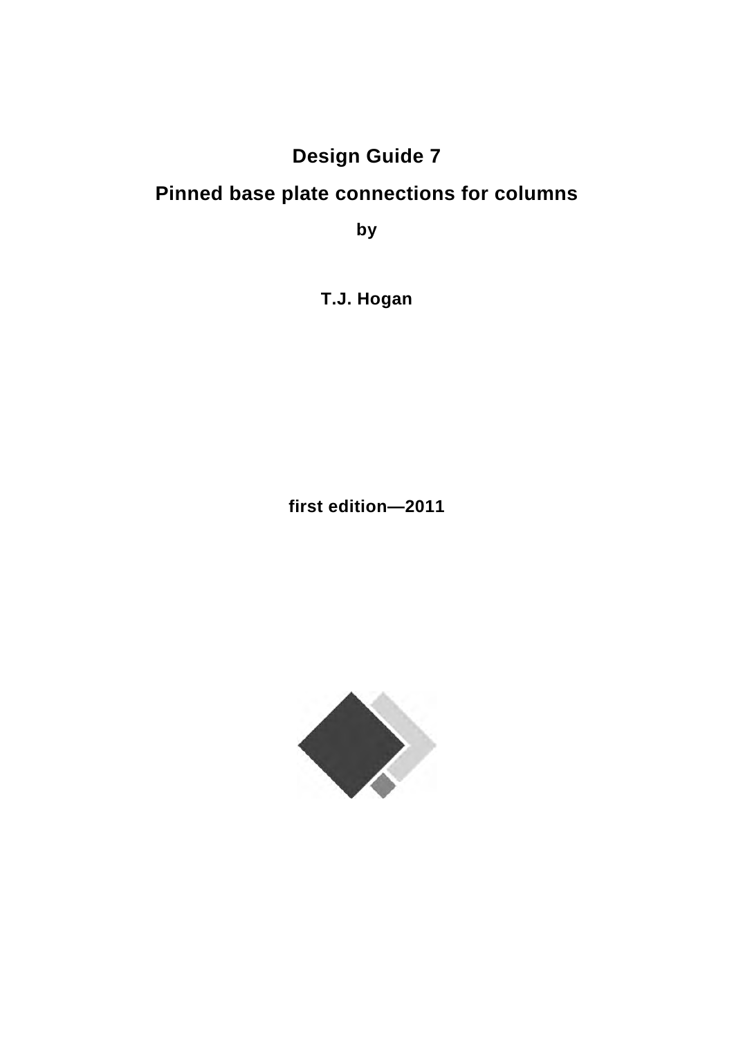# **Design Guide 7**

# **Pinned base plate connections for columns**

**by** 

**T.J. Hogan** 

**first edition—2011** 

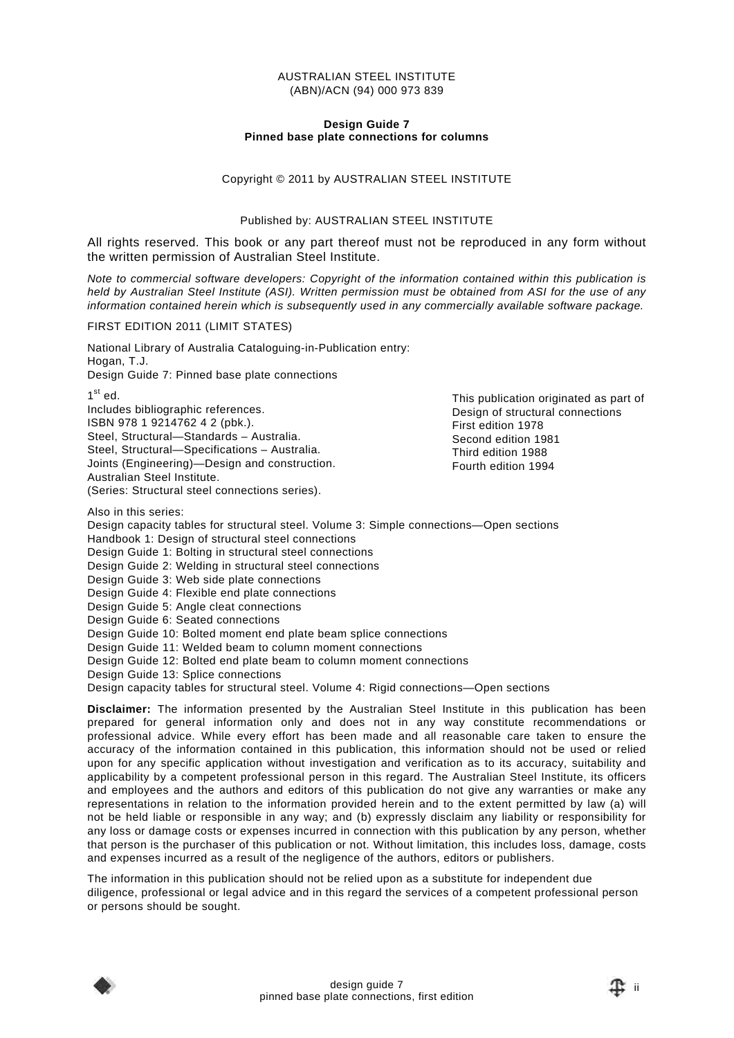#### AUSTRALIAN STEEL INSTITUTE (ABN)/ACN (94) 000 973 839

#### **Design Guide 7 Pinned base plate connections for columns**

#### Copyright © 2011 by AUSTRALIAN STEEL INSTITUTE

#### Published by: AUSTRALIAN STEEL INSTITUTE

All rights reserved. This book or any part thereof must not be reproduced in any form without the written permission of Australian Steel Institute.

*Note to commercial software developers: Copyright of the information contained within this publication is held by Australian Steel Institute (ASI). Written permission must be obtained from ASI for the use of any information contained herein which is subsequently used in any commercially available software package.* 

#### FIRST EDITION 2011 (LIMIT STATES)

National Library of Australia Cataloguing-in-Publication entry: Hogan, T.J.

Design Guide 7: Pinned base plate connections

 $1^{\text{st}}$  ed.

Includes bibliographic references. ISBN 978 1 9214762 4 2 (pbk.). Steel, Structural—Standards – Australia. Steel, Structural—Specifications – Australia. Joints (Engineering)—Design and construction. Australian Steel Institute. (Series: Structural steel connections series).

This publication originated as part of Design of structural connections First edition 1978 Second edition 1981 Third edition 1988 Fourth edition 1994

Also in this series:

Design capacity tables for structural steel. Volume 3: Simple connections—Open sections Handbook 1: Design of structural steel connections

Design Guide 1: Bolting in structural steel connections

Design Guide 2: Welding in structural steel connections

Design Guide 3: Web side plate connections

Design Guide 4: Flexible end plate connections

Design Guide 5: Angle cleat connections

Design Guide 6: Seated connections

Design Guide 10: Bolted moment end plate beam splice connections

Design Guide 11: Welded beam to column moment connections

Design Guide 12: Bolted end plate beam to column moment connections

Design Guide 13: Splice connections

Design capacity tables for structural steel. Volume 4: Rigid connections—Open sections

**Disclaimer:** The information presented by the Australian Steel Institute in this publication has been prepared for general information only and does not in any way constitute recommendations or professional advice. While every effort has been made and all reasonable care taken to ensure the accuracy of the information contained in this publication, this information should not be used or relied upon for any specific application without investigation and verification as to its accuracy, suitability and applicability by a competent professional person in this regard. The Australian Steel Institute, its officers and employees and the authors and editors of this publication do not give any warranties or make any representations in relation to the information provided herein and to the extent permitted by law (a) will not be held liable or responsible in any way; and (b) expressly disclaim any liability or responsibility for any loss or damage costs or expenses incurred in connection with this publication by any person, whether that person is the purchaser of this publication or not. Without limitation, this includes loss, damage, costs and expenses incurred as a result of the negligence of the authors, editors or publishers.

The information in this publication should not be relied upon as a substitute for independent due diligence, professional or legal advice and in this regard the services of a competent professional person or persons should be sought.